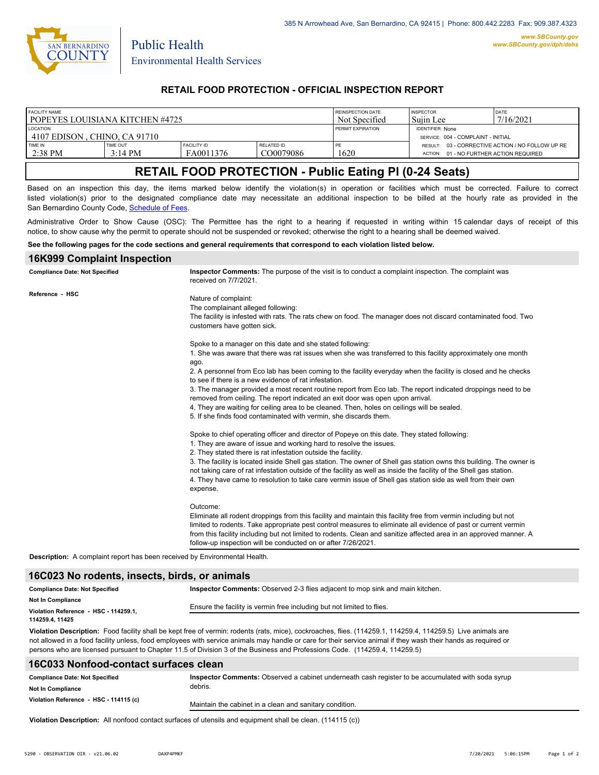

Public Health

## **RETAIL FOOD PROTECTION - OFFICIAL INSPECTION REPORT**

| FACILITY NAME                                     |                   |                    |                   | <b>REINSPECTION DATE</b> | <b>INSPECTOR</b>                                              | DATE                                             |
|---------------------------------------------------|-------------------|--------------------|-------------------|--------------------------|---------------------------------------------------------------|--------------------------------------------------|
| l popeyes louisiana kitchen #4725                 |                   |                    |                   | Not Specified            | Suiin Lee                                                     | 7/16/2021                                        |
| <b>LOCATION</b><br>14107 EDISON . CHINO. CA 91710 |                   |                    |                   | <b>PERMIT EXPIRATION</b> | <b>IDENTIFIER: None</b><br>SERVICE: 004 - COMPLAINT - INITIAL |                                                  |
| <b>TIME IN</b>                                    | TIME OUT          | <b>FACILITY ID</b> | <b>RELATED ID</b> | PE                       | 01 - NO FURTHER ACTION REQUIRED                               | RESULT: 03 - CORRECTIVE ACTION / NO FOLLOW UP RE |
| $2:38$ PM                                         | $3:14 \text{ PM}$ | FA0011376          | CO0079086         | 1620                     | ACTION:                                                       |                                                  |

# **RETAIL FOOD PROTECTION - Public Eating Pl (0-24 Seats)**

Based on an inspection this day, the items marked below identify the violation(s) in operation or facilities which must be corrected. Failure to correct listed violation(s) prior to the designated compliance date may necessitate an additional inspection to be billed at the hourly rate as provided in the San Bernardino County Code, Sc[hedule of Fees.](https://codelibrary.amlegal.com/codes/sanbernardino/latest/sanberncty_ca/0-0-0-122474#JD_16.0213B)

Administrative Order to Show Cause (OSC): The Permittee has the right to a hearing if requested in writing within 15 calendar days of receipt of this notice, to show cause why the permit to operate should not be suspended or revoked; otherwise the right to a hearing shall be deemed waived.

#### **See the following pages for the code sections and general requirements that correspond to each violation listed below.**

# **16K999 Complaint Inspection**

| <b>Compliance Date: Not Specified</b>                                      | Inspector Comments: The purpose of the visit is to conduct a complaint inspection. The complaint was<br>received on 7/7/2021.                                                                                                                                                                                                                                                                                            |  |  |  |
|----------------------------------------------------------------------------|--------------------------------------------------------------------------------------------------------------------------------------------------------------------------------------------------------------------------------------------------------------------------------------------------------------------------------------------------------------------------------------------------------------------------|--|--|--|
| Reference - HSC                                                            | Nature of complaint:<br>The complainant alleged following:<br>The facility is infested with rats. The rats chew on food. The manager does not discard contaminated food. Two<br>customers have gotten sick.                                                                                                                                                                                                              |  |  |  |
|                                                                            | Spoke to a manager on this date and she stated following:                                                                                                                                                                                                                                                                                                                                                                |  |  |  |
|                                                                            | 1. She was aware that there was rat issues when she was transferred to this facility approximately one month<br>ago.                                                                                                                                                                                                                                                                                                     |  |  |  |
|                                                                            | 2. A personnel from Eco lab has been coming to the facility everyday when the facility is closed and he checks<br>to see if there is a new evidence of rat infestation.                                                                                                                                                                                                                                                  |  |  |  |
|                                                                            | 3. The manager provided a most recent routine report from Eco lab. The report indicated droppings need to be<br>removed from ceiling. The report indicated an exit door was open upon arrival.                                                                                                                                                                                                                           |  |  |  |
|                                                                            | 4. They are waiting for ceiling area to be cleaned. Then, holes on ceilings will be sealed.<br>5. If she finds food contaminated with vermin, she discards them.                                                                                                                                                                                                                                                         |  |  |  |
|                                                                            | Spoke to chief operating officer and director of Popeye on this date. They stated following:<br>1. They are aware of issue and working hard to resolve the issues.<br>2. They stated there is rat infestation outside the facility.                                                                                                                                                                                      |  |  |  |
|                                                                            | 3. The facility is located inside Shell gas station. The owner of Shell gas station owns this building. The owner is<br>not taking care of rat infestation outside of the facility as well as inside the facility of the Shell gas station.<br>4. They have came to resolution to take care vermin issue of Shell gas station side as well from their own<br>expense.                                                    |  |  |  |
|                                                                            | Outcome:                                                                                                                                                                                                                                                                                                                                                                                                                 |  |  |  |
|                                                                            | Eliminate all rodent droppings from this facility and maintain this facility free from vermin including but not<br>limited to rodents. Take appropriate pest control measures to eliminate all evidence of past or current vermin<br>from this facility including but not limited to rodents. Clean and sanitize affected area in an approved manner. A<br>follow-up inspection will be conducted on or after 7/26/2021. |  |  |  |
| Description: A complaint report has been received by Environmental Health. |                                                                                                                                                                                                                                                                                                                                                                                                                          |  |  |  |

### **16C023 No rodents, insects, birds, or animals**

| <b>Compliance Date: Not Specified</b> | Inspector Comments: Observed 2-3 flies adjacent to mop sink and main kitchen.                                                                                                                                                                                                                                                                                                                         |  |  |
|---------------------------------------|-------------------------------------------------------------------------------------------------------------------------------------------------------------------------------------------------------------------------------------------------------------------------------------------------------------------------------------------------------------------------------------------------------|--|--|
| <b>Not In Compliance</b>              |                                                                                                                                                                                                                                                                                                                                                                                                       |  |  |
| Violation Reference - HSC - 114259.1. | Ensure the facility is vermin free including but not limited to flies.                                                                                                                                                                                                                                                                                                                                |  |  |
| 114259.4, 11425                       |                                                                                                                                                                                                                                                                                                                                                                                                       |  |  |
|                                       | Violation Description: Food facility shall be kept free of vermin: rodents (rats, mice), cockroaches, flies. (114259.1, 114259.4, 114259.5) Live animals are<br>$\alpha$ and $\alpha$ are the state of the state of the state of the state of the state of the state of the state of the state of the state of the state of the state of the state of the state of the state of the state of the stat |  |  |

not allowed in a food facility unless, food employees with service animals may handle or care for their service animal if they wash their hands as required or persons who are licensed pursuant to Chapter 11.5 of Division 3 of the Business and Professions Code. (114259.4, 114259.5)

# **16C033 Nonfood-contact surfaces clean**

| <b>Compliance Date: Not Specified</b>  | Inspector Comments: Observed a cabinet underneath cash register to be accumulated with soda syrup |  |
|----------------------------------------|---------------------------------------------------------------------------------------------------|--|
| <b>Not In Compliance</b>               | debris.                                                                                           |  |
| Violation Reference - HSC - 114115 (c) | Maintain the cabinet in a clean and sanitary condition.                                           |  |

**Violation Description:** All nonfood contact surfaces of utensils and equipment shall be clean. (114115 (c))